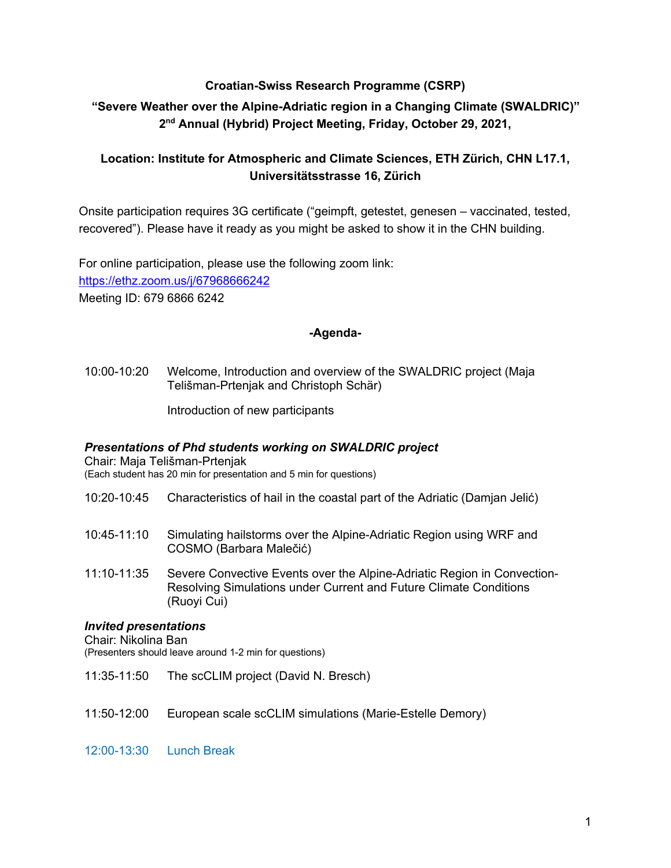## **Croatian-Swiss Research Programme (CSRP)**

# **"Severe Weather over the Alpine-Adriatic region in a Changing Climate (SWALDRIC)" 2nd Annual (Hybrid) Project Meeting, Friday, October 29, 2021,**

# **Location: Institute for Atmospheric and Climate Sciences, ETH Zürich, CHN L17.1, Universitätsstrasse 16, Zürich**

Onsite participation requires 3G certificate ("geimpft, getestet, genesen – vaccinated, tested, recovered"). Please have it ready as you might be asked to show it in the CHN building.

For online participation, please use the following zoom link: https://ethz.zoom.us/j/67968666242 Meeting ID: 679 6866 6242

#### **-Agenda-**

10:00-10:20 Welcome, Introduction and overview of the SWALDRIC project (Maja Telišman-Prtenjak and Christoph Schär)

Introduction of new participants

## *Presentations of Phd students working on SWALDRIC project*

Chair: Maja Telišman-Prtenjak (Each student has 20 min for presentation and 5 min for questions)

- 10:20-10:45 Characteristics of hail in the coastal part of the Adriatic (Damjan Jelić)
- 10:45-11:10 Simulating hailstorms over the Alpine-Adriatic Region using WRF and COSMO (Barbara Malečić)
- 11:10-11:35 Severe Convective Events over the Alpine-Adriatic Region in Convection-Resolving Simulations under Current and Future Climate Conditions (Ruoyi Cui)

## *Invited presentations*

Chair: Nikolina Ban

(Presenters should leave around 1-2 min for questions)

- 11:35-11:50 The scCLIM project (David N. Bresch)
- 11:50-12:00 European scale scCLIM simulations (Marie-Estelle Demory)

12:00-13:30 Lunch Break